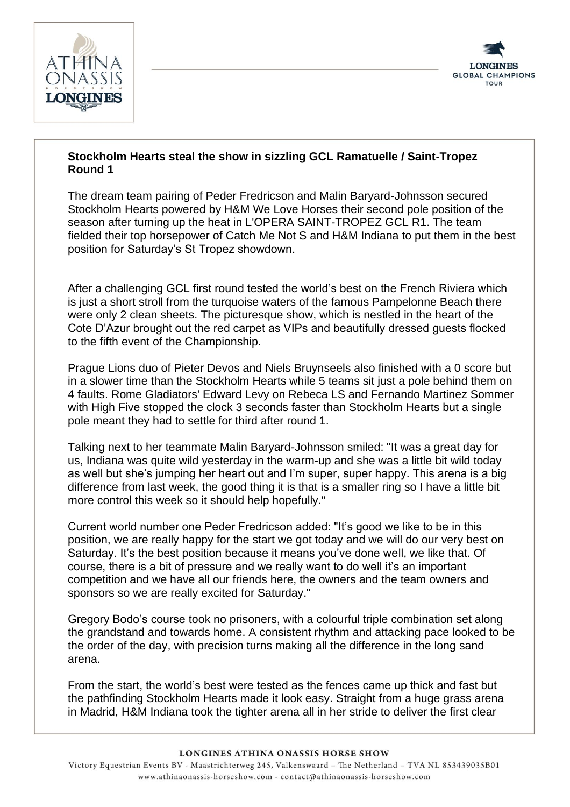



## **Stockholm Hearts steal the show in sizzling GCL Ramatuelle / Saint-Tropez Round 1**

The dream team pairing of Peder Fredricson and Malin Baryard-Johnsson secured Stockholm Hearts powered by H&M We Love Horses their second pole position of the season after turning up the heat in L'OPERA SAINT-TROPEZ GCL R1. The team fielded their top horsepower of Catch Me Not S and H&M Indiana to put them in the best position for Saturday's St Tropez showdown.

After a challenging GCL first round tested the world's best on the French Riviera which is just a short stroll from the turquoise waters of the famous Pampelonne Beach there were only 2 clean sheets. The picturesque show, which is nestled in the heart of the Cote D'Azur brought out the red carpet as VIPs and beautifully dressed guests flocked to the fifth event of the Championship.

Prague Lions duo of Pieter Devos and Niels Bruynseels also finished with a 0 score but in a slower time than the Stockholm Hearts while 5 teams sit just a pole behind them on 4 faults. Rome Gladiators' Edward Levy on Rebeca LS and Fernando Martinez Sommer with High Five stopped the clock 3 seconds faster than Stockholm Hearts but a single pole meant they had to settle for third after round 1.

Talking next to her teammate Malin Baryard-Johnsson smiled: "It was a great day for us, Indiana was quite wild yesterday in the warm-up and she was a little bit wild today as well but she's jumping her heart out and I'm super, super happy. This arena is a big difference from last week, the good thing it is that is a smaller ring so I have a little bit more control this week so it should help hopefully."

Current world number one Peder Fredricson added: "It's good we like to be in this position, we are really happy for the start we got today and we will do our very best on Saturday. It's the best position because it means you've done well, we like that. Of course, there is a bit of pressure and we really want to do well it's an important competition and we have all our friends here, the owners and the team owners and sponsors so we are really excited for Saturday."

Gregory Bodo's course took no prisoners, with a colourful triple combination set along the grandstand and towards home. A consistent rhythm and attacking pace looked to be the order of the day, with precision turns making all the difference in the long sand arena.

From the start, the world's best were tested as the fences came up thick and fast but the pathfinding Stockholm Hearts made it look easy. Straight from a huge grass arena in Madrid, H&M Indiana took the tighter arena all in her stride to deliver the first clear